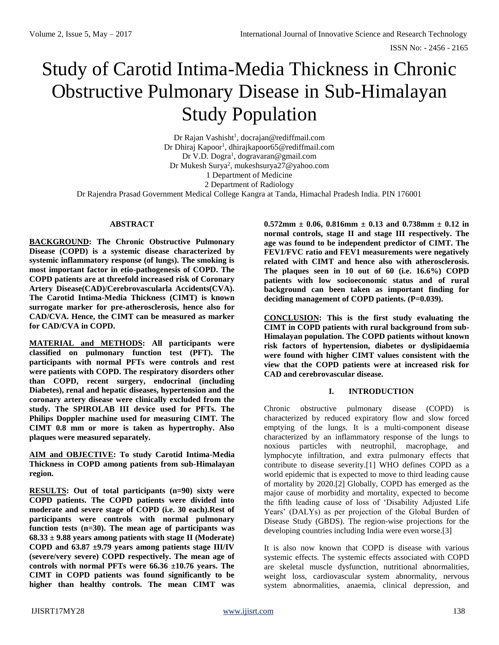# Study of Carotid Intima-Media Thickness in Chronic Obstructive Pulmonary Disease in Sub-Himalayan Study Population

Dr Rajan Vashisht<sup>1</sup>, [docrajan@rediffmail.com](mailto:docrajan@rediffmail.com) Dr Dhiraj Kapoor<sup>1</sup>[, dhirajkapoor65@rediffmail.com](mailto:dhirajkapoor65@rediffmail.com) Dr V.D. Dogra<sup>1</sup>, dogravaran@gmail.com Dr Mukesh Surya<sup>2</sup> [, mukeshsurya27@yahoo.com](mailto:mukeshsurya27@yahoo.com) 1 Department of Medicine 2 Department of Radiology

Dr Rajendra Prasad Government Medical College Kangra at Tanda, Himachal Pradesh India. PIN 176001

### **ABSTRACT**

**BACKGROUND: The Chronic Obstructive Pulmonary Disease (COPD) is a systemic disease characterized by systemic inflammatory response (of lungs). The smoking is most important factor in etio-pathogenesis of COPD. The COPD patients are at threefold increased risk of Coronary Artery Disease(CAD)/Cerebrovascularla Accidents(CVA). The Carotid Intima-Media Thickness (CIMT) is known surrogate marker for pre-atherosclerosis, hence also for CAD/CVA. Hence, the CIMT can be measured as marker for CAD/CVA in COPD.** 

**MATERIAL and METHODS: All participants were classified on pulmonary function test (PFT). The participants with normal PFTs were controls and rest were patients with COPD. The respiratory disorders other than COPD, recent surgery, endocrinal (including Diabetes), renal and hepatic diseases, hypertension and the coronary artery disease were clinically excluded from the study. The SPIROLAB III device used for PFTs. The Philips Doppler machine used for measuring CIMT. The CIMT 0.8 mm or more is taken as hypertrophy. Also plaques were measured separately.**

**AIM and OBJECTIVE: To study Carotid Intima-Media Thickness in COPD among patients from sub-Himalayan region.**

**RESULTS: Out of total participants (n=90) sixty were COPD patients. The COPD patients were divided into moderate and severe stage of COPD (i.e. 30 each).Rest of participants were controls with normal pulmonary function tests (n=30). The mean age of participants was 68.33 ± 9.88 years among patients with stage II (Moderate) COPD and 63.87 ±9.79 years among patients stage III/IV (severe/very severe) COPD respectively. The mean age of controls with normal PFTs were 66.36 ±10.76 years. The CIMT in COPD patients was found significantly to be higher than healthy controls. The mean CIMT was** 

**0.572mm ± 0.06, 0.816mm ± 0.13 and 0.738mm ± 0.12 in normal controls, stage II and stage III respectively. The age was found to be independent predictor of CIMT. The FEV1/FVC ratio and FEV1 measurements were negatively related with CIMT and hence also with atherosclerosis. The plaques seen in 10 out of 60 (i.e. 16.6%) COPD patients with low socioeconomic status and of rural background can been taken as important finding for deciding management of COPD patients. (P=0.039).**

**CONCLUSION: This is the first study evaluating the CIMT in COPD patients with rural background from sub-Himalayan population. The COPD patients without known risk factors of hypertension, diabetes or dyslipidaemia were found with higher CIMT values consistent with the view that the COPD patients were at increased risk for CAD and cerebrovascular disease.**

#### **I. INTRODUCTION**

Chronic obstructive pulmonary disease (COPD) is characterized by reduced expiratory flow and slow forced emptying of the lungs. It is a multi-component disease characterized by an inflammatory response of the lungs to noxious particles with neutrophil, macrophage, and lymphocyte infiltration, and extra pulmonary effects that contribute to disease severity.[1] WHO defines COPD as a world epidemic that is expected to move to third leading cause of mortality by 2020.[2] Globally, COPD has emerged as the major cause of morbidity and mortality, expected to become the fifth leading cause of loss of 'Disability Adjusted Life Years' (DALYs) as per projection of the Global Burden of Disease Study (GBDS). The region-wise projections for the developing countries including India were even worse.[3]

It is also now known that COPD is disease with various systemic effects. The systemic effects associated with COPD are skeletal muscle dysfunction, nutritional abnormalities, weight loss, cardiovascular system abnormality, nervous system abnormalities, anaemia, clinical depression, and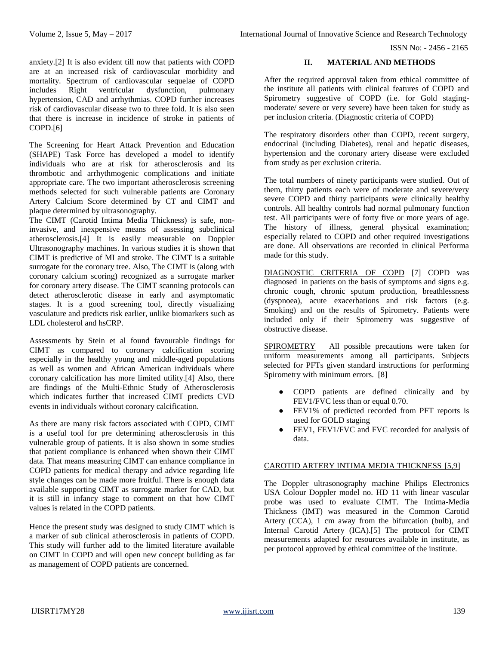anxiety.[2] It is also evident till now that patients with COPD are at an increased risk of cardiovascular morbidity and mortality. Spectrum of cardiovascular sequelae of COPD includes Right ventricular dysfunction, pulmonary hypertension, CAD and arrhythmias. COPD further increases risk of cardiovascular disease two to three fold. It is also seen that there is increase in incidence of stroke in patients of COPD.[6]

The Screening for Heart Attack Prevention and Education (SHAPE) Task Force has developed a model to identify individuals who are at risk for atherosclerosis and its thrombotic and arrhythmogenic complications and initiate appropriate care. The two important atherosclerosis screening methods selected for such vulnerable patients are Coronary Artery Calcium Score determined by CT and CIMT and plaque determined by ultrasonography.

The CIMT (Carotid Intima Media Thickness) is safe, noninvasive, and inexpensive means of assessing subclinical atherosclerosis.[4] It is easily measurable on Doppler Ultrasonography machines. In various studies it is shown that CIMT is predictive of MI and stroke. The CIMT is a suitable surrogate for the coronary tree. Also, The CIMT is (along with coronary calcium scoring) recognized as a surrogate marker for coronary artery disease. The CIMT scanning protocols can detect atherosclerotic disease in early and asymptomatic stages. It is a good screening tool, directly visualizing vasculature and predicts risk earlier, unlike biomarkers such as LDL cholesterol and hsCRP.

Assessments by Stein et al found favourable findings for CIMT as compared to coronary calcification scoring especially in the healthy young and middle-aged populations as well as women and African American individuals where coronary calcification has more limited utility.[4] Also, there are findings of the Multi-Ethnic Study of Atherosclerosis which indicates further that increased CIMT predicts CVD events in individuals without coronary calcification.

As there are many risk factors associated with COPD, CIMT is a useful tool for pre determining atherosclerosis in this vulnerable group of patients. It is also shown in some studies that patient compliance is enhanced when shown their CIMT data. That means measuring CIMT can enhance compliance in COPD patients for medical therapy and advice regarding life style changes can be made more fruitful. There is enough data available supporting CIMT as surrogate marker for CAD, but it is still in infancy stage to comment on that how CIMT values is related in the COPD patients.

Hence the present study was designed to study CIMT which is a marker of sub clinical atherosclerosis in patients of COPD. This study will further add to the limited literature available on CIMT in COPD and will open new concept building as far as management of COPD patients are concerned.

# **II. MATERIAL AND METHODS**

After the required approval taken from ethical committee of the institute all patients with clinical features of COPD and Spirometry suggestive of COPD (i.e. for Gold stagingmoderate/ severe or very severe) have been taken for study as per inclusion criteria. (Diagnostic criteria of COPD)

The respiratory disorders other than COPD, recent surgery, endocrinal (including Diabetes), renal and hepatic diseases, hypertension and the coronary artery disease were excluded from study as per exclusion criteria.

The total numbers of ninety participants were studied. Out of them, thirty patients each were of moderate and severe/very severe COPD and thirty participants were clinically healthy controls. All healthy controls had normal pulmonary function test. All participants were of forty five or more years of age. The history of illness, general physical examination; especially related to COPD and other required investigations are done. All observations are recorded in clinical Performa made for this study.

DIAGNOSTIC CRITERIA OF COPD [7] COPD was diagnosed in patients on the basis of symptoms and signs e.g. chronic cough, chronic sputum production, breathlessness (dyspnoea), acute exacerbations and risk factors (e.g. Smoking) and on the results of Spirometry. Patients were included only if their Spirometry was suggestive of obstructive disease.

SPIROMETRY All possible precautions were taken for uniform measurements among all participants. Subjects selected for PFTs given standard instructions for performing Spirometry with minimum errors. [8]

- COPD patients are defined clinically and by FEV1/FVC less than or equal 0.70.
- FEV1% of predicted recorded from PFT reports is used for GOLD staging
- FEV1, FEV1/FVC and FVC recorded for analysis of data.

# CAROTID ARTERY INTIMA MEDIA THICKNESS [5,9]

The Doppler ultrasonography machine Philips Electronics USA Colour Doppler model no. HD 11 with linear vascular probe was used to evaluate CIMT. The Intima-Media Thickness (IMT) was measured in the Common Carotid Artery (CCA), 1 cm away from the bifurcation (bulb), and Internal Carotid Artery (ICA).[5] The protocol for CIMT measurements adapted for resources available in institute, as per protocol approved by ethical committee of the institute.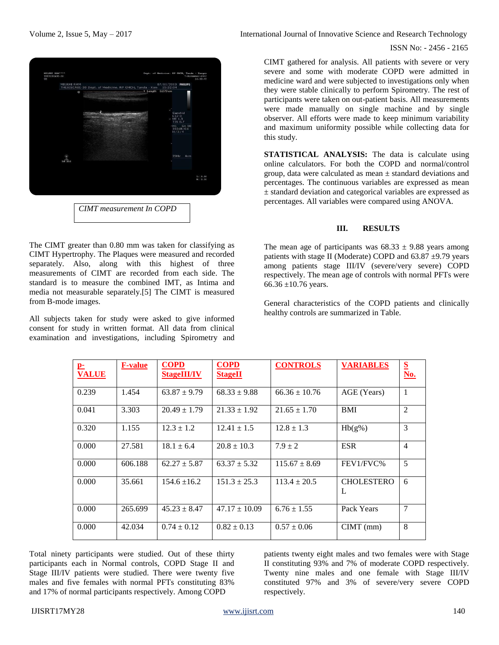

The CIMT greater than 0.80 mm was taken for classifying as CIMT Hypertrophy. The Plaques were measured and recorded separately. Also, along with this highest of three measurements of CIMT are recorded from each side. The standard is to measure the combined IMT, as Intima and media not measurable separately.[5] The CIMT is measured from B-mode images.

All subjects taken for study were asked to give informed consent for study in written format. All data from clinical examination and investigations, including Spirometry and

Volume 2, Issue 5, May – 2017 **International Journal of Innovative Science and Research Technology** 

ISSN No: - 2456 - 2165

CIMT gathered for analysis. All patients with severe or very severe and some with moderate COPD were admitted in medicine ward and were subjected to investigations only when they were stable clinically to perform Spirometry. The rest of participants were taken on out-patient basis. All measurements were made manually on single machine and by single observer. All efforts were made to keep minimum variability and maximum uniformity possible while collecting data for this study.

**STATISTICAL ANALYSIS:** The data is calculate using online calculators. For both the COPD and normal/control group, data were calculated as mean  $\pm$  standard deviations and percentages. The continuous variables are expressed as mean ± standard deviation and categorical variables are expressed as percentages. All variables were compared using ANOVA.

# **III. RESULTS**

The mean age of participants was  $68.33 \pm 9.88$  years among patients with stage II (Moderate) COPD and  $63.87 \pm 9.79$  years among patients stage III/IV (severe/very severe) COPD respectively. The mean age of controls with normal PFTs were 66.36  $\pm$ 10.76 years.

General characteristics of the COPD patients and clinically healthy controls are summarized in Table.

| $\mathbf{p}_\mathbf{r}$<br><b>VALUE</b> | <b>F-value</b> | <b>COPD</b><br><b>StageIII/IV</b> | <b>COPD</b><br><b>StageII</b> | <b>CONTROLS</b>   | <b>VARIABLES</b>       | S<br><b>No.</b> |
|-----------------------------------------|----------------|-----------------------------------|-------------------------------|-------------------|------------------------|-----------------|
| 0.239                                   | 1.454          | $63.87 \pm 9.79$                  | $68.33 \pm 9.88$              | $66.36 \pm 10.76$ | AGE (Years)            | $\mathbf{1}$    |
| 0.041                                   | 3.303          | $20.49 \pm 1.79$                  | $21.33 \pm 1.92$              | $21.65 \pm 1.70$  | <b>BMI</b>             | $\overline{2}$  |
| 0.320                                   | 1.155          | $12.3 \pm 1.2$                    | $12.41 \pm 1.5$               | $12.8 \pm 1.3$    | $Hb(g\%)$              | 3               |
| 0.000                                   | 27.581         | $18.1 \pm 6.4$                    | $20.8 \pm 10.3$               | $7.9 + 2$         | <b>ESR</b>             | $\overline{4}$  |
| 0.000                                   | 606.188        | $62.27 \pm 5.87$                  | $63.37 \pm 5.32$              | $115.67 \pm 8.69$ | FEV1/FVC%              | 5               |
| 0.000                                   | 35.661         | $154.6 \pm 16.2$                  | $151.3 \pm 25.3$              | $113.4 \pm 20.5$  | <b>CHOLESTERO</b><br>L | 6               |
| 0.000                                   | 265.699        | $45.23 \pm 8.47$                  | $47.17 \pm 10.09$             | $6.76 \pm 1.55$   | Pack Years             | $\overline{7}$  |
| 0.000                                   | 42.034         | $0.74 \pm 0.12$                   | $0.82 \pm 0.13$               | $0.57 \pm 0.06$   | $CIMT$ (mm)            | 8               |

Total ninety participants were studied. Out of these thirty participants each in Normal controls, COPD Stage II and Stage III/IV patients were studied. There were twenty five males and five females with normal PFTs constituting 83% and 17% of normal participants respectively. Among COPD

patients twenty eight males and two females were with Stage II constituting 93% and 7% of moderate COPD respectively. Twenty nine males and one female with Stage III/IV constituted 97% and 3% of severe/very severe COPD respectively.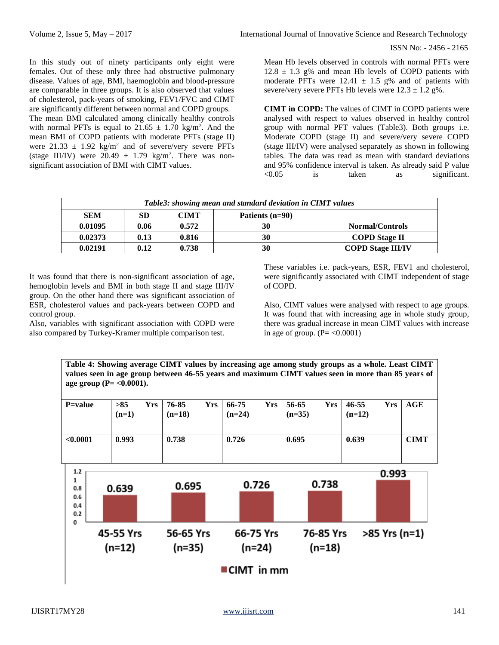ISSN No: - 2456 - 2165

In this study out of ninety participants only eight were females. Out of these only three had obstructive pulmonary disease. Values of age, BMI, haemoglobin and blood-pressure are comparable in three groups. It is also observed that values of cholesterol, pack-years of smoking, FEV1/FVC and CIMT are significantly different between normal and COPD groups. The mean BMI calculated among clinically healthy controls with normal PFTs is equal to  $21.65 \pm 1.70$  kg/m<sup>2</sup>. And the mean BMI of COPD patients with moderate PFTs (stage II) were  $21.33 \pm 1.92$  kg/m<sup>2</sup> and of severe/very severe PFTs (stage III/IV) were  $20.49 \pm 1.79$  kg/m<sup>2</sup>. There was nonsignificant association of BMI with CIMT values.

Mean Hb levels observed in controls with normal PFTs were  $12.8 \pm 1.3$  g% and mean Hb levels of COPD patients with moderate PFTs were  $12.41 \pm 1.5$  g% and of patients with severe/very severe PFTs Hb levels were  $12.3 \pm 1.2$  g%.

**CIMT in COPD:** The values of CIMT in COPD patients were analysed with respect to values observed in healthy control group with normal PFT values (Table3). Both groups i.e. Moderate COPD (stage II) and severe/very severe COPD (stage III/IV) were analysed separately as shown in following tables. The data was read as mean with standard deviations and 95% confidence interval is taken. As already said P value <0.05 is taken as significant.

| Table3: showing mean and standard deviation in CIMT values |      |             |                 |                          |  |  |  |  |
|------------------------------------------------------------|------|-------------|-----------------|--------------------------|--|--|--|--|
| <b>SEM</b>                                                 | SD   | <b>CIMT</b> | Patients (n=90) |                          |  |  |  |  |
| 0.01095                                                    | 0.06 | 0.572       | 30              | <b>Normal/Controls</b>   |  |  |  |  |
| 0.02373                                                    | 0.13 | 0.816       | 30              | <b>COPD Stage II</b>     |  |  |  |  |
| 0.02191                                                    | 0.12 | 0.738       | 30              | <b>COPD Stage III/IV</b> |  |  |  |  |

It was found that there is non-significant association of age, hemoglobin levels and BMI in both stage II and stage III/IV group. On the other hand there was significant association of ESR, cholesterol values and pack-years between COPD and control group.

Also, variables with significant association with COPD were also compared by Turkey-Kramer multiple comparison test.

These variables i.e. pack-years, ESR, FEV1 and cholesterol, were significantly associated with CIMT independent of stage of COPD.

Also, CIMT values were analysed with respect to age groups. It was found that with increasing age in whole study group, there was gradual increase in mean CIMT values with increase in age of group.  $(P = < 0.0001)$ 

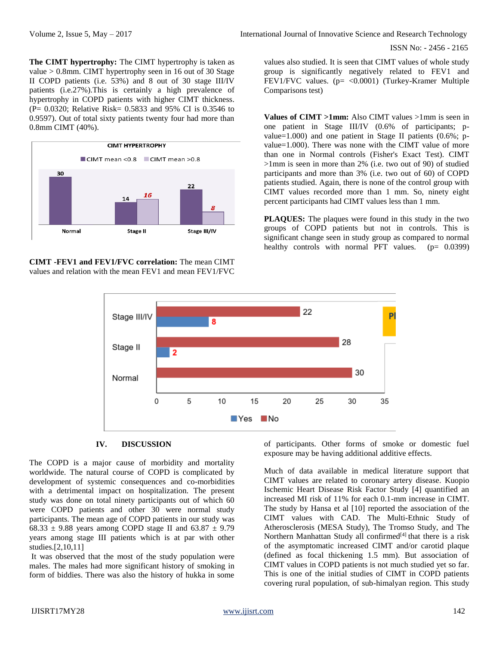ISSN No: - 2456 - 2165

**The CIMT hypertrophy:** The CIMT hypertrophy is taken as value > 0.8mm. CIMT hypertrophy seen in 16 out of 30 Stage II COPD patients (i.e. 53%) and 8 out of 30 stage III/IV patients (i.e.27%).This is certainly a high prevalence of hypertrophy in COPD patients with higher CIMT thickness. (P= 0.0320; Relative Risk= 0.5833 and 95% CI is 0.3546 to 0.9597). Out of total sixty patients twenty four had more than 0.8mm CIMT (40%).



**CIMT -FEV1 and FEV1/FVC correlation:** The mean CIMT values and relation with the mean FEV1 and mean FEV1/FVC

values also studied. It is seen that CIMT values of whole study group is significantly negatively related to FEV1 and FEV1/FVC values. (p= <0.0001) (Turkey-Kramer Multiple Comparisons test)

**Values of CIMT >1mm:** Also CIMT values >1mm is seen in one patient in Stage III/IV (0.6% of participants; pvalue=1.000) and one patient in Stage II patients  $(0.6\%; p-)$ value=1.000). There was none with the CIMT value of more than one in Normal controls (Fisher's Exact Test). CIMT >1mm is seen in more than 2% (i.e. two out of 90) of studied participants and more than 3% (i.e. two out of 60) of COPD patients studied. Again, there is none of the control group with CIMT values recorded more than 1 mm. So, ninety eight percent participants had CIMT values less than 1 mm.

**PLAQUES:** The plaques were found in this study in the two groups of COPD patients but not in controls. This is significant change seen in study group as compared to normal healthy controls with normal PFT values. (p= 0.0399)



#### **IV. DISCUSSION**

The COPD is a major cause of morbidity and mortality worldwide. The natural course of COPD is complicated by development of systemic consequences and co-morbidities with a detrimental impact on hospitalization. The present study was done on total ninety participants out of which 60 were COPD patients and other 30 were normal study participants. The mean age of COPD patients in our study was 68.33  $\pm$  9.88 years among COPD stage II and 63.87  $\pm$  9.79 years among stage III patients which is at par with other studies.[2,10,11]

It was observed that the most of the study population were males. The males had more significant history of smoking in form of biddies. There was also the history of hukka in some of participants. Other forms of smoke or domestic fuel exposure may be having additional additive effects.

Much of data available in medical literature support that CIMT values are related to coronary artery disease. Kuopio Ischemic Heart Disease Risk Factor Study [4] quantified an increased MI risk of 11% for each 0.1-mm increase in CIMT. The study by Hansa et al [10] reported the association of the CIMT values with CAD. The Multi-Ethnic Study of Atherosclerosis (MESA Study), The Tromso Study, and The Northern Manhattan Study all confirmed<sup>[4]</sup> that there is a risk of the asymptomatic increased CIMT and/or carotid plaque (defined as focal thickening 1.5 mm). But association of CIMT values in COPD patients is not much studied yet so far. This is one of the initial studies of CIMT in COPD patients covering rural population, of sub-himalyan region. This study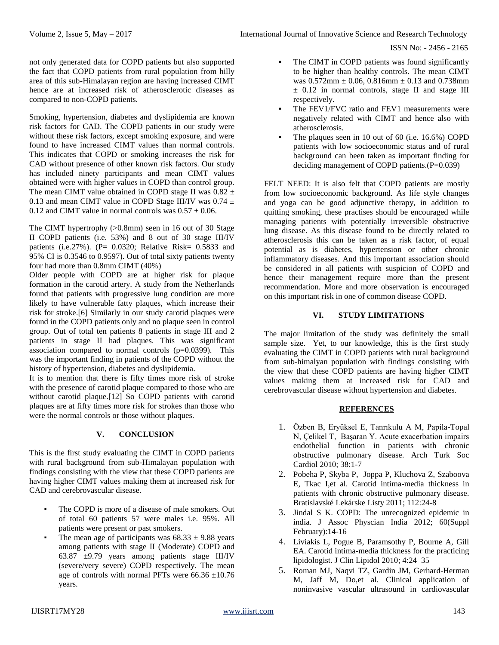ISSN No: - 2456 - 2165

not only generated data for COPD patients but also supported the fact that COPD patients from rural population from hilly area of this sub-Himalayan region are having increased CIMT hence are at increased risk of atherosclerotic diseases as compared to non-COPD patients.

Smoking, hypertension, diabetes and dyslipidemia are known risk factors for CAD. The COPD patients in our study were without these risk factors, except smoking exposure, and were found to have increased CIMT values than normal controls. This indicates that COPD or smoking increases the risk for CAD without presence of other known risk factors. Our study has included ninety participants and mean CIMT values obtained were with higher values in COPD than control group. The mean CIMT value obtained in COPD stage II was  $0.82 \pm$ 0.13 and mean CIMT value in COPD Stage III/IV was 0.74  $\pm$ 0.12 and CIMT value in normal controls was  $0.57 \pm 0.06$ .

The CIMT hypertrophy (>0.8mm) seen in 16 out of 30 Stage II COPD patients (i.e. 53%) and 8 out of 30 stage III/IV patients (i.e.27%). (P= 0.0320; Relative Risk= 0.5833 and 95% CI is 0.3546 to 0.9597). Out of total sixty patients twenty four had more than 0.8mm CIMT (40%)

Older people with COPD are at higher risk for plaque formation in the carotid artery. A study from the Netherlands found that patients with progressive lung condition are more likely to have vulnerable fatty plaques, which increase their risk for stroke.[6] Similarly in our study carotid plaques were found in the COPD patients only and no plaque seen in control group. Out of total ten patients 8 patients in stage III and 2 patients in stage II had plaques. This was significant association compared to normal controls  $(p=0.0399)$ . This was the important finding in patients of the COPD without the history of hypertension, diabetes and dyslipidemia.

It is to mention that there is fifty times more risk of stroke with the presence of carotid plaque compared to those who are without carotid plaque.[12] So COPD patients with carotid plaques are at fifty times more risk for strokes than those who were the normal controls or those without plaques.

# **V. CONCLUSION**

This is the first study evaluating the CIMT in COPD patients with rural background from sub-Himalayan population with findings consisting with the view that these COPD patients are having higher CIMT values making them at increased risk for CAD and cerebrovascular disease.

- The COPD is more of a disease of male smokers. Out of total 60 patients 57 were males i.e. 95%. All patients were present or past smokers.
- The mean age of participants was  $68.33 \pm 9.88$  years among patients with stage II (Moderate) COPD and 63.87  $\pm$ 9.79 years among patients stage III/IV (severe/very severe) COPD respectively. The mean age of controls with normal PFTs were  $66.36 \pm 10.76$ years.
- The FEV1/FVC ratio and FEV1 measurements were negatively related with CIMT and hence also with atherosclerosis.
- The plaques seen in 10 out of 60 (i.e.  $16.6\%$ ) COPD patients with low socioeconomic status and of rural background can been taken as important finding for deciding management of COPD patients.(P=0.039)

FELT NEED: It is also felt that COPD patients are mostly from low socioeconomic background. As life style changes and yoga can be good adjunctive therapy, in addition to quitting smoking, these practises should be encouraged while managing patients with potentially irreversible obstructive lung disease. As this disease found to be directly related to atherosclerosis this can be taken as a risk factor, of equal potential as is diabetes, hypertension or other chronic inflammatory diseases. And this important association should be considered in all patients with suspicion of COPD and hence their management require more than the present recommendation. More and more observation is encouraged on this important risk in one of common disease COPD.

# **VI. STUDY LIMITATIONS**

The major limitation of the study was definitely the small sample size. Yet, to our knowledge, this is the first study evaluating the CIMT in COPD patients with rural background from sub-himalyan population with findings consisting with the view that these COPD patients are having higher CIMT values making them at increased risk for CAD and cerebrovascular disease without hypertension and diabetes.

# **REFERENCES**

- 1. Özben B, Eryüksel E, Tanrıkulu A M, Papila-Topal N, Çelikel T, Başaran Y. Acute exacerbation impairs endothelial function in patients with chronic obstructive pulmonary disease. Arch Turk Soc Cardiol 2010; 38:1-7
- 2. Pobeha P, Skyba P, [Joppa P, K](http://www.biomedexperts.com/Profile.bme/652281/Pavol_Joppa)luchova Z, Szaboova E, [Tkac I,et al. C](http://www.biomedexperts.com/Profile.bme/1422143/Ivan_Tkac)arotid intima-media thickness in patients with chronic obstructive pulmonary disease. Bratislavské Lekárske Listy 2011; 112:24-8
- 3. Jindal S K. COPD: The unrecognized epidemic in india. J Assoc Physcian India 2012; 60(Suppl February):14-16
- 4. Liviakis L, Pogue B, Paramsothy P, Bourne A, Gill EA. Carotid intima-media thickness for the practicing lipidologist. J Clin Lipidol 2010; 4:24–35
- 5. Roman MJ, Naqvi TZ, Gardin JM, Gerhard-Herman M, Jaff M, Do,et al. Clinical application of noninvasive vascular ultrasound in cardiovascular